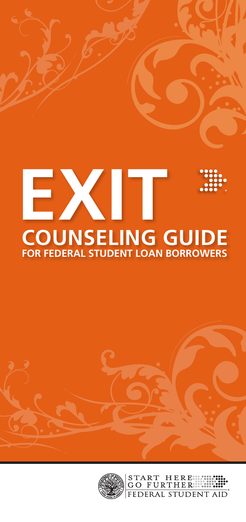# **EXIT**  $\frac{1}{1000}$ **COUNSELING GUIDE FOR FEDERAL STUDENT LOAN BORROWER**





START HERE HIMILION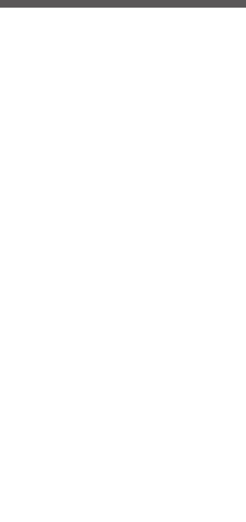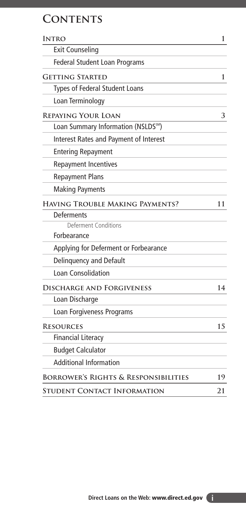# **CONTENTS**

| <b>INTRO</b>                                    | 1  |
|-------------------------------------------------|----|
| <b>Exit Counseling</b>                          |    |
| Federal Student Loan Programs                   |    |
| <b>GETTING STARTED</b>                          | 1  |
| Types of Federal Student Loans                  |    |
| Loan Terminology                                |    |
| <b>REPAYING YOUR LOAN</b>                       | 3  |
| Loan Summary Information (NSLDS <sup>SM</sup> ) |    |
| Interest Rates and Payment of Interest          |    |
| <b>Entering Repayment</b>                       |    |
| Repayment Incentives                            |    |
| <b>Repayment Plans</b>                          |    |
| <b>Making Payments</b>                          |    |
| <b>HAVING TROUBLE MAKING PAYMENTS?</b>          | 11 |
| <b>Deferments</b>                               |    |
| Deferment Conditions                            |    |
| Forbearance                                     |    |
| Applying for Deferment or Forbearance           |    |
| <b>Delinquency and Default</b>                  |    |
| Loan Consolidation                              |    |
| <b>DISCHARGE AND FORGIVENESS</b>                | 14 |
| Loan Discharge                                  |    |
| Loan Forgiveness Programs                       |    |
| <b>RESOURCES</b>                                | 15 |
| <b>Financial Literacy</b>                       |    |
| <b>Budget Calculator</b>                        |    |
| <b>Additional Information</b>                   |    |
| <b>BORROWER'S RIGHTS &amp; RESPONSIBILITIES</b> | 19 |
| STUDENT CONTACT INFORMATION                     | 21 |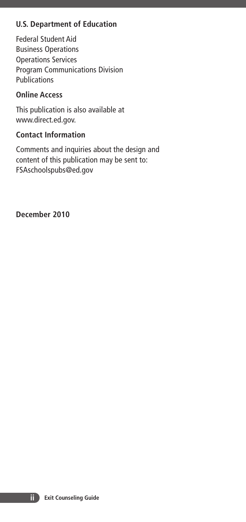#### **U.S. Department of Education**

Federal Student Aid Business Operations Operations Services Program Communications Division Publications

#### **Online Access**

This publication is also available at www.direct.ed.gov.

#### **Contact Information**

Comments and inquiries about the design and content of this publication may be sent to: FSAschoolspubs@ed.gov

**December 2010**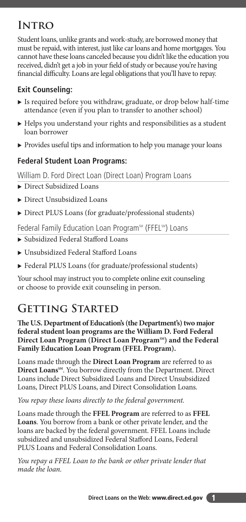# **Intro**

Student loans, unlike grants and work-study, are borrowed money that must be repaid, with interest, just like car loans and home mortgages. You cannot have these loans canceled because you didn't like the education you received, didn't get a job in your field of study or because you're having financial difficulty. Loans are legal obligations that you'll have to repay.

#### **Exit Counseling:**

- $\blacktriangleright$  Is required before you withdraw, graduate, or drop below half-time attendance (even if you plan to transfer to another school)
- Helps you understand your rights and responsibilities as a student loan borrower
- Provides useful tips and information to help you manage your loans

#### **Federal Student Loan Programs:**

#### William D. Ford Direct Loan (Direct Loan) Program Loans

- Direct Subsidized Loans
- Direct Unsubsidized Loans
- $\triangleright$  Direct PLUS Loans (for graduate/professional students)

Federal Family Education Loan Program<sup>SM</sup> (FFEL<sup>SM</sup>) Loans

- <sup>u</sup> Subsidized Federal Stafford Loans
- ▶ Unsubsidized Federal Stafford Loans
- $\blacktriangleright$  Federal PLUS Loans (for graduate/professional students)

Your school may instruct you to complete online exit counseling or choose to provide exit counseling in person.

# **Getting Started**

**The U.S. Department of Education's (the Department's) two major federal student loan programs are the William D. Ford Federal**  Direct Loan Program (Direct Loan Program<sup>SM</sup>) and the Federal **Family Education Loan Program (FFEL Program).**

Loans made through the **Direct Loan Program** are referred to as Direct Loans<sup>SM</sup>. You borrow directly from the Department. Direct Loans include Direct Subsidized Loans and Direct Unsubsidized Loans, Direct PLUS Loans, and Direct Consolidation Loans.

*You repay these loans directly to the federal government.*

Loans made through the **FFEL Program** are referred to as **FFEL Loans**. You borrow from a bank or other private lender, and the loans are backed by the federal government. FFEL Loans include subsidized and unsubsidized Federal Stafford Loans, Federal PLUS Loans and Federal Consolidation Loans.

*You repay a FFEL Loan to the bank or other private lender that made the loan.*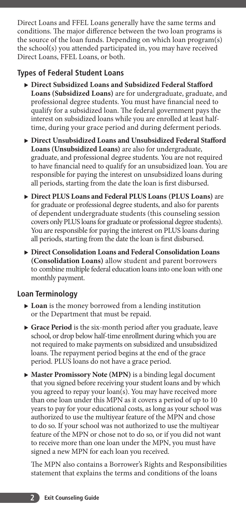Direct Loans and FFEL Loans generally have the same terms and conditions. The major difference between the two loan programs is the source of the loan funds. Depending on which loan program(s) the school(s) you attended participated in, you may have received Direct Loans, FFEL Loans, or both.

#### **Types of Federal Student Loans**

- ▶ Direct Subsidized Loans and Subsidized Federal Stafford **Loans (Subsidized Loans)** are for undergraduate, graduate, and professional degree students. You must have financial need to qualify for a subsidized loan. The federal government pays the interest on subsidized loans while you are enrolled at least halftime, during your grace period and during deferment periods.
- <sup>u</sup> **Direct Unsubsidized Loans and Unsubsidized Federal Stafford Loans (Unsubsidized Loans)** are also for undergraduate, graduate, and professional degree students. You are not required to have financial need to qualify for an unsubsidized loan. You are responsible for paying the interest on unsubsidized loans during all periods, starting from the date the loan is first disbursed.
- <sup>u</sup> **Direct PLUS Loans and Federal PLUS Loans (PLUS Loans)** are for graduate or professional degree students, and also for parents of dependent undergraduate students (this counseling session covers only PLUS loans for graduate or professional degree students). You are responsible for paying the interest on PLUS loans during all periods, starting from the date the loan is first disbursed.
- <sup>u</sup> **Direct Consolidation Loans and Federal Consolidation Loans (Consolidation Loans)** allow student and parent borrowers to combine multiple federal education loans into one loan with one monthly payment.

#### **Loan Terminology**

- ▶ Loan is the money borrowed from a lending institution or the Department that must be repaid.
- <sup>u</sup> **Grace Period** is the six-month period after you graduate, leave school, or drop below half-time enrollment during which you are not required to make payments on subsidized and unsubsidized loans. The repayment period begins at the end of the grace period. PLUS loans do not have a grace period.
- ▶ Master Promissory Note (MPN) is a binding legal document that you signed before receiving your student loans and by which you agreed to repay your loan(s). You may have received more than one loan under this MPN as it covers a period of up to 10 years to pay for your educational costs, as long as your school was authorized to use the multiyear feature of the MPN and chose to do so. If your school was not authorized to use the multiyear feature of the MPN or chose not to do so, or if you did not want to receive more than one loan under the MPN, you must have signed a new MPN for each loan you received.

 The MPN also contains a Borrower's Rights and Responsibilities statement that explains the terms and conditions of the loans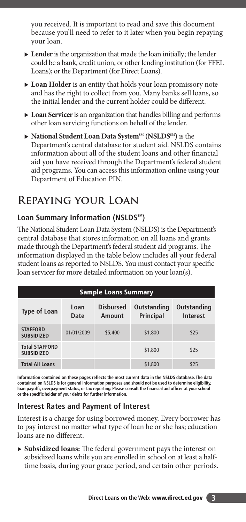you received. It is important to read and save this document because you'll need to refer to it later when you begin repaying your loan.

- <sup>u</sup> **Lender** is the organization that made the loan initially; the lender could be a bank, credit union, or other lending institution (for FFEL Loans); or the Department (for Direct Loans).
- **Loan Holder** is an entity that holds your loan promissory note and has the right to collect from you. Many banks sell loans, so the initial lender and the current holder could be different.
- **Loan Servicer** is an organization that handles billing and performs other loan servicing functions on behalf of the lender.
- **National Student Loan Data System<sup>SM</sup> (NSLDS<sup>SM</sup>) is the** Department's central database for student aid. NSLDS contains information about all of the student loans and other financial aid you have received through the Department's federal student aid programs. You can access this information online using your Department of Education PIN.

### **Repaying your Loan**

### Loan Summary Information (NSLDS<sup>SM</sup>)

The National Student Loan Data System (NSLDS) is the Department's central database that stores information on all loans and grants made through the Department's federal student aid programs. The information displayed in the table below includes all your federal student loans as reported to NSLDS. You must contact your specific loan servicer for more detailed information on your loan(s).

| <b>Sample Loans Summary</b>                |              |                            |                          |                                |  |  |  |
|--------------------------------------------|--------------|----------------------------|--------------------------|--------------------------------|--|--|--|
| <b>Type of Loan</b>                        | Loan<br>Date | <b>Disbursed</b><br>Amount | Outstanding<br>Principal | Outstanding<br><b>Interest</b> |  |  |  |
| <b>STAFFORD</b><br><b>SUBSIDIZED</b>       | 01/01/2009   | \$5,400                    | \$1,800                  | \$25                           |  |  |  |
| <b>Total STAFFORD</b><br><b>SUBSIDIZED</b> |              |                            | \$1,800                  | \$25                           |  |  |  |
| <b>Total All Loans</b>                     |              |                            | \$1,800                  | \$25                           |  |  |  |

**Information contained on these pages reflects the most current data in the NSLDS database. The data contained on NSLDS is for general information purposes and should not be used to determine eligibility, loan payoffs, overpayment status, or tax reporting. Please consult the financial aid officer at your school or the specific holder of your debts for further information.**

#### **Interest Rates and Payment of Interest**

Interest is a charge for using borrowed money. Every borrower has to pay interest no matter what type of loan he or she has; education loans are no different.

<sup>u</sup> **Subsidized loans:** The federal government pays the interest on subsidized loans while you are enrolled in school on at least a halftime basis, during your grace period, and certain other periods.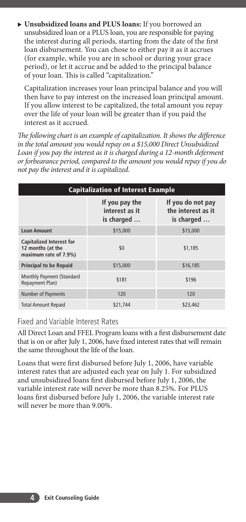<sup>u</sup> **Unsubsidized loans and PLUS loans:** If you borrowed an unsubsidized loan or a PLUS loan, you are responsible for paying the interest during all periods, starting from the date of the first loan disbursement. You can chose to either pay it as it accrues (for example, while you are in school or during your grace period), or let it accrue and be added to the principal balance of your loan. This is called "capitalization."

Capitalization increases your loan principal balance and you will then have to pay interest on the increased loan principal amount. If you allow interest to be capitalized, the total amount you repay over the life of your loan will be greater than if you paid the interest as it accrued.

*The following chart is an example of capitalization. It shows the difference in the total amount you would repay on a \$15,000 Direct Unsubsidized*  Loan if you pay the interest as it is charged during a 12-month deferment *or forbearance period, compared to the amount you would repay if you do not pay the interest and it is capitalized.*

| <b>Capitalization of Interest Example</b>                                     |                                                |                                                       |  |  |  |  |
|-------------------------------------------------------------------------------|------------------------------------------------|-------------------------------------------------------|--|--|--|--|
|                                                                               | If you pay the<br>interest as it<br>is charged | If you do not pay<br>the interest as it<br>is charged |  |  |  |  |
| <b>Loan Amount</b>                                                            | \$15,000                                       | \$15,000                                              |  |  |  |  |
| <b>Capitalized Interest for</b><br>12 months (at the<br>maximum rate of 7.9%) | \$0                                            | \$1,185                                               |  |  |  |  |
| <b>Principal to be Repaid</b>                                                 | \$15,000                                       | \$16.185                                              |  |  |  |  |
| Monthly Payment (Standard<br>Repayment Plan)                                  | \$181                                          | \$196                                                 |  |  |  |  |
| <b>Number of Payments</b>                                                     | 120                                            | 120                                                   |  |  |  |  |
| <b>Total Amount Repaid</b>                                                    | \$21,744                                       | \$23,462                                              |  |  |  |  |

#### Fixed and Variable Interest Rates

All Direct Loan and FFEL Program loans with a first disbursement date that is on or after July 1, 2006, have fixed interest rates that will remain the same throughout the life of the loan.

Loans that were first disbursed before July 1, 2006, have variable interest rates that are adjusted each year on July 1. For subsidized and unsubsidized loans first disbursed before July 1, 2006, the variable interest rate will never be more than 8.25%. For PLUS loans first disbursed before July 1, 2006, the variable interest rate will never be more than 9.00%.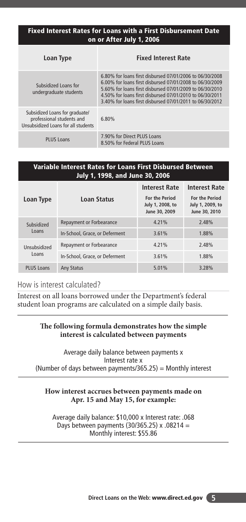#### Fixed Interest Rates for Loans with a First Disbursement Date on or After July 1, 2006

| Loan Type                                                                                          | <b>Fixed Interest Rate</b>                                                                                                                                                                                                                                                                               |
|----------------------------------------------------------------------------------------------------|----------------------------------------------------------------------------------------------------------------------------------------------------------------------------------------------------------------------------------------------------------------------------------------------------------|
| Subsidized Loans for<br>undergraduate students                                                     | 6.80% for loans first disbursed 07/01/2006 to 06/30/2008<br>6.00% for loans first disbursed 07/01/2008 to 06/30/2009<br>5.60% for loans first disbursed 07/01/2009 to 06/30/2010<br>4.50% for loans first disbursed 07/01/2010 to 06/30/2011<br>3.40% for loans first disbursed 07/01/2011 to 06/30/2012 |
| Subsidized Loans for graduate/<br>professional students and<br>Unsubsidized Loans for all students | 6.80%                                                                                                                                                                                                                                                                                                    |
| <b>PLUS Loans</b>                                                                                  | 7.90% for Direct PLUS Loans<br>8.50% for Federal PLUS Loans                                                                                                                                                                                                                                              |

#### Variable Interest Rates for Loans First Disbursed Between July 1, 1998, and June 30, 2006

|                   |                                | Interest Rate                                              | <b>Interest Rate</b>                                       |
|-------------------|--------------------------------|------------------------------------------------------------|------------------------------------------------------------|
| Loan Type         | <b>Loan Status</b>             | <b>For the Period</b><br>July 1, 2008, to<br>June 30, 2009 | <b>For the Period</b><br>July 1, 2009, to<br>June 30, 2010 |
| Subsidized        | Repayment or Forbearance       | 4.21%                                                      | 2.48%                                                      |
| Loans             | In-School, Grace, or Deferment | 3.61%                                                      | 1.88%                                                      |
| Unsubsidized      | Repayment or Forbearance       | 4.21%                                                      | 2.48%                                                      |
| Loans             | In-School, Grace, or Deferment | 3.61%                                                      | 1.88%                                                      |
| <b>PLUS Loans</b> | <b>Any Status</b>              | 5.01%                                                      | 3.28%                                                      |

#### How is interest calculated?

Interest on all loans borrowed under the Department's federal student loan programs are calculated on a simple daily basis.

#### **The following formula demonstrates how the simple interest is calculated between payments**

Average daily balance between payments x Interest rate x (Number of days between payments/365.25) = Monthly interest

#### **How interest accrues between payments made on Apr. 15 and May 15, for example:**

Average daily balance: \$10,000 x Interest rate: .068 Days between payments (30/365.25) x .08214 = Monthly interest: \$55.86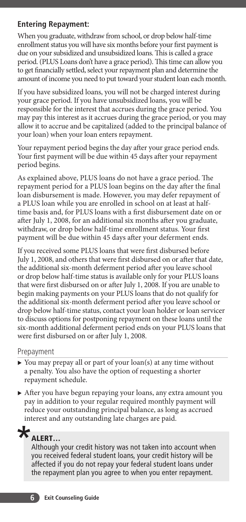#### **Entering Repayment:**

When you graduate, withdraw from school, or drop below half-time enrollment status you will have six months before your first payment is due on your subsidized and unsubsidized loans. This is called a grace period. (PLUS Loans don't have a grace period). This time can allow you to get financially settled, select your repayment plan and determine the amount of income you need to put toward your student loan each month.

If you have subsidized loans, you will not be charged interest during your grace period. If you have unsubsidized loans, you will be responsible for the interest that accrues during the grace period. You may pay this interest as it accrues during the grace period, or you may allow it to accrue and be capitalized (added to the principal balance of your loan) when your loan enters repayment.

Your repayment period begins the day after your grace period ends. Your first payment will be due within 45 days after your repayment period begins.

As explained above, PLUS loans do not have a grace period. The repayment period for a PLUS loan begins on the day after the final loan disbursement is made. However, you may defer repayment of a PLUS loan while you are enrolled in school on at least at halftime basis and, for PLUS loans with a first disbursement date on or after July 1, 2008, for an additional six months after you graduate, withdraw, or drop below half-time enrollment status. Your first payment will be due within 45 days after your deferment ends.

If you received some PLUS loans that were first disbursed before July 1, 2008, and others that were first disbursed on or after that date, the additional six-month deferment period after you leave school or drop below half-time status is available only for your PLUS loans that were first disbursed on or after July 1, 2008. If you are unable to begin making payments on your PLUS loans that do not qualify for the additional six-month deferment period after you leave school or drop below half-time status, contact your loan holder or loan servicer to discuss options for postponing repayment on these loans until the six-month additional deferment period ends on your PLUS loans that were first disbursed on or after July 1, 2008.

#### Prepayment

- $\triangleright$  You may prepay all or part of your loan(s) at any time without a penalty. You also have the option of requesting a shorter repayment schedule.
- After you have begun repaying your loans, any extra amount you pay in addition to your regular required monthly payment will reduce your outstanding principal balance, as long as accrued interest and any outstanding late charges are paid.

# $\star$  ALERT...

Although your credit history was not taken into account when you received federal student loans, your credit history will be affected if you do not repay your federal student loans under the repayment plan you agree to when you enter repayment.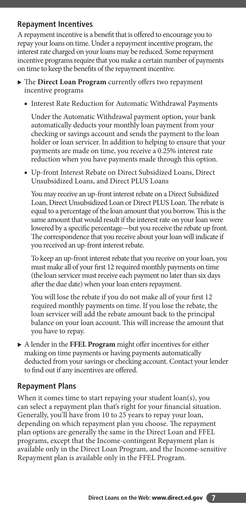#### **Repayment Incentives**

A repayment incentive is a benefit that is offered to encourage you to repay your loans on time. Under a repayment incentive program, the interest rate charged on your loans may be reduced. Some repayment incentive programs require that you make a certain number of payments on time to keep the benefits of the repayment incentive.

- $\triangleright$  The **Direct Loan Program** currently offers two repayment incentive programs
	- Interest Rate Reduction for Automatic Withdrawal Payments

 Under the Automatic Withdrawal payment option, your bank automatically deducts your monthly loan payment from your checking or savings account and sends the payment to the loan holder or loan servicer. In addition to helping to ensure that your payments are made on time, you receive a 0.25% interest rate reduction when you have payments made through this option.

■ Up-front Interest Rebate on Direct Subsidized Loans, Direct Unsubsidized Loans, and Direct PLUS Loans

 You may receive an up-front interest rebate on a Direct Subsidized Loan, Direct Unsubsidized Loan or Direct PLUS Loan. The rebate is equal to a percentage of the loan amount that you borrow. This is the same amount that would result if the interest rate on your loan were lowered by a specific percentage—but you receive the rebate up front. The correspondence that you receive about your loan will indicate if you received an up-front interest rebate.

 To keep an up-front interest rebate that you receive on your loan, you must make all of your first 12 required monthly payments on time (the loan servicer must receive each payment no later than six days after the due date) when your loan enters repayment.

 You will lose the rebate if you do not make all of your first 12 required monthly payments on time. If you lose the rebate, the loan servicer will add the rebate amount back to the principal balance on your loan account. This will increase the amount that you have to repay.

<sup>u</sup> A lender in the **FFEL Program** might offer incentives for either making on time payments or having payments automatically deducted from your savings or checking account. Contact your lender to find out if any incentives are offered.

#### **Repayment Plans**

When it comes time to start repaying your student loan(s), you can select a repayment plan that's right for your financial situation. Generally, you'll have from 10 to 25 years to repay your loan, depending on which repayment plan you choose. The repayment plan options are generally the same in the Direct Loan and FFEL programs, except that the Income-contingent Repayment plan is available only in the Direct Loan Program, and the Income-sensitive Repayment plan is available only in the FFEL Program.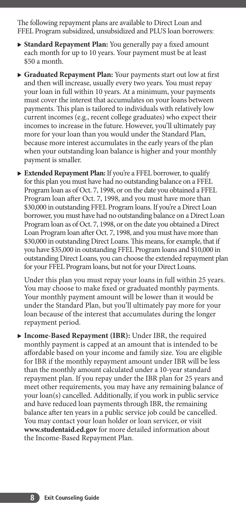The following repayment plans are available to Direct Loan and FFEL Program subsidized, unsubsidized and PLUS loan borrowers:

- ▶ Standard Repayment Plan: You generally pay a fixed amount each month for up to 10 years. Your payment must be at least \$50 a month.
- **Graduated Repayment Plan:** Your payments start out low at first and then will increase, usually every two years. You must repay your loan in full within 10 years. At a minimum, your payments must cover the interest that accumulates on your loans between payments. This plan is tailored to individuals with relatively low current incomes (e.g., recent college graduates) who expect their incomes to increase in the future. However, you'll ultimately pay more for your loan than you would under the Standard Plan, because more interest accumulates in the early years of the plan when your outstanding loan balance is higher and your monthly payment is smaller.
- Extended Repayment Plan: If you're a FFEL borrower, to qualify for this plan you must have had no outstanding balance on a FFEL Program loan as of Oct. 7, 1998, or on the date you obtained a FFEL Program loan after Oct. 7, 1998, and you must have more than \$30,000 in outstanding FFEL Program loans. If you're a Direct Loan borrower, you must have had no outstanding balance on a Direct Loan Program loan as of Oct. 7, 1998, or on the date you obtained a Direct Loan Program loan after Oct. 7, 1998, and you must have more than \$30,000 in outstanding Direct Loans. This means, for example, that if you have \$35,000 in outstanding FFEL Program loans and \$10,000 in outstanding Direct Loans, you can choose the extended repayment plan for your FFEL Program loans, but not for your Direct Loans.

 Under this plan you must repay your loans in full within 25 years. You may choose to make fixed or graduated monthly payments. Your monthly payment amount will be lower than it would be under the Standard Plan, but you'll ultimately pay more for your loan because of the interest that accumulates during the longer repayment period.

**Income-Based Repayment (IBR):** Under IBR, the required monthly payment is capped at an amount that is intended to be affordable based on your income and family size. You are eligible for IBR if the monthly repayment amount under IBR will be less than the monthly amount calculated under a 10-year standard repayment plan. If you repay under the IBR plan for 25 years and meet other requirements, you may have any remaining balance of your loan(s) cancelled. Additionally, if you work in public service and have reduced loan payments through IBR, the remaining balance after ten years in a public service job could be cancelled. You may contact your loan holder or loan servicer, or visit **www.studentaid.ed.gov** for more detailed information about the Income-Based Repayment Plan.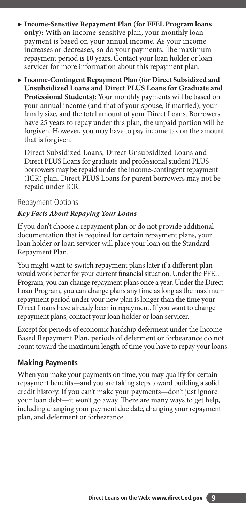- **Income-Sensitive Repayment Plan (for FFEL Program loans only):** With an income-sensitive plan, your monthly loan payment is based on your annual income. As your income increases or decreases, so do your payments. The maximum repayment period is 10 years. Contact your loan holder or loan servicer for more information about this repayment plan.
- **Income-Contingent Repayment Plan (for Direct Subsidized and Unsubsidized Loans and Direct PLUS Loans for Graduate and Professional Students):** Your monthly payments will be based on your annual income (and that of your spouse, if married), your family size, and the total amount of your Direct Loans. Borrowers have 25 years to repay under this plan, the unpaid portion will be forgiven. However, you may have to pay income tax on the amount that is forgiven.

 Direct Subsidized Loans, Direct Unsubsidized Loans and Direct PLUS Loans for graduate and professional student PLUS borrowers may be repaid under the income-contingent repayment (ICR) plan. Direct PLUS Loans for parent borrowers may not be repaid under ICR.

#### Repayment Options

#### *Key Facts About Repaying Your Loans*

If you don't choose a repayment plan or do not provide additional documentation that is required for certain repayment plans, your loan holder or loan servicer will place your loan on the Standard Repayment Plan.

You might want to switch repayment plans later if a different plan would work better for your current financial situation. Under the FFEL Program, you can change repayment plans once a year. Under the Direct Loan Program, you can change plans any time as long as the maximum repayment period under your new plan is longer than the time your Direct Loans have already been in repayment. If you want to change repayment plans, contact your loan holder or loan servicer.

Except for periods of economic hardship deferment under the Income-Based Repayment Plan, periods of deferment or forbearance do not count toward the maximum length of time you have to repay your loans.

#### **Making Payments**

When you make your payments on time, you may qualify for certain repayment benefits—and you are taking steps toward building a solid credit history. If you can't make your payments—don't just ignore your loan debt—it won't go away. There are many ways to get help, including changing your payment due date, changing your repayment plan, and deferment or forbearance.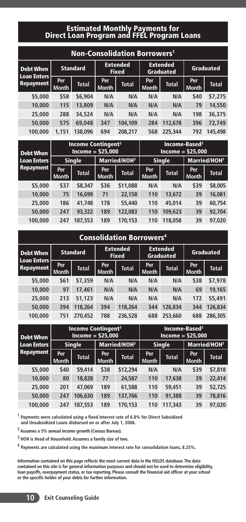# Estimated Monthly Payments for Direct Loan Program and FFEL Program Loans

| <b>Non-Consolidation Borrowers<sup>1</sup></b> |                     |                 |                     |                                 |                     |                              |                     |                  |
|------------------------------------------------|---------------------|-----------------|---------------------|---------------------------------|---------------------|------------------------------|---------------------|------------------|
| <b>Debt When</b><br>Loan Enters                |                     | <b>Standard</b> |                     | <b>Extended</b><br><b>Fixed</b> |                     | <b>Extended</b><br>Graduated |                     | <b>Graduated</b> |
| Repayment                                      | Per<br><b>Month</b> | <b>Total</b>    | Per<br><b>Month</b> | <b>Total</b>                    | <b>Per</b><br>Month | <b>Total</b>                 | Per<br><b>Month</b> | <b>Total</b>     |
| \$5,000                                        | \$58                | \$6,904         | N/A                 | N/A                             | N/A                 | N/A                          | \$40                | \$7,275          |
| 10,000                                         | 115                 | 13,809          | N/A                 | N/A                             | N/A                 | N/A                          | 79                  | 14,550           |
| 25,000                                         | 288                 | 34,524          | N/A                 | N/A                             | N/A                 | N/A                          | 198                 | 36,375           |
| 50,000                                         | 575                 | 69,048          | 347                 | 104.109                         | 284                 | 112,678                      | 396                 | 72,749           |
| 100.000                                        | 1.151               | 138,096         | 694                 | 208,217                         | 568                 | 225,344                      | 792                 | 145,498          |

| <b>Debt When</b> |                     | <b>Income Contingent<sup>2</sup></b><br>Income = \$25,000 |                            |                          | Income-Based <sup>2</sup><br>$Income = $25,000$ |               |                     |                          |
|------------------|---------------------|-----------------------------------------------------------|----------------------------|--------------------------|-------------------------------------------------|---------------|---------------------|--------------------------|
| Loan Enters      |                     | <b>Single</b>                                             |                            | Married/HOH <sup>3</sup> |                                                 | <b>Single</b> |                     | Married/HOH <sup>3</sup> |
| Repayment        | <b>Per</b><br>Month | <b>Total</b>                                              | <b>Per</b><br><b>Month</b> | <b>Total</b>             | Per<br><b>Month</b>                             | <b>Total</b>  | Per<br><b>Month</b> | <b>Total</b>             |
| \$5,000          | \$37                | \$8,347                                                   | \$36                       | \$11,088                 | N/A                                             | N/A           | \$39                | \$8,005                  |
| 10,000           | 75                  | 16,699                                                    | 71                         | 22,158                   | 110                                             | 13,672        | 39                  | 16,081                   |
| 25,000           | 186                 | 41,748                                                    | 178                        | 55,440                   | 110                                             | 45.014        | 39                  | 60.754                   |
| 50,000           | 247                 | 93,322                                                    | 189                        | 122,083                  | 110                                             | 109,623       | 39                  | 92.704                   |
| 100,000          | 247                 | 187,553                                                   | 189                        | 170.153                  | 110                                             | 118,058       | 39                  | 97,020                   |

| <b>Consolidation Borrowers<sup>4</sup></b> |                     |                 |                     |                                 |                     |                              |                     |                  |
|--------------------------------------------|---------------------|-----------------|---------------------|---------------------------------|---------------------|------------------------------|---------------------|------------------|
| <b>Debt When</b><br><b>Loan Enters</b>     |                     | <b>Standard</b> |                     | <b>Extended</b><br><b>Fixed</b> |                     | <b>Extended</b><br>Graduated |                     | <b>Graduated</b> |
| Repayment                                  | Per<br><b>Month</b> | <b>Total</b>    | Per<br><b>Month</b> | <b>Total</b>                    | Per<br><b>Month</b> | <b>Total</b>                 | Per<br><b>Month</b> | <b>Total</b>     |
| \$5,000                                    | \$61                | \$7,359         | N/A                 | N/A                             | N/A                 | N/A                          | \$38                | \$7,978          |
| 10,000                                     | 97                  | 17,461          | N/A                 | N/A                             | N/A                 | N/A                          | 69                  | 19,165           |
| 25,000                                     | 213                 | 51,123          | N/A                 | N/A                             | N/A                 | N/A                          | 172                 | 55,491           |
| 50,000                                     | 394                 | 118,264         | 394                 | 118,264                         | 344                 | 126.834                      | 344                 | 126.834          |
| 100,000                                    | 751                 | 270.452         | 788                 | 236,528                         | 688                 | 253,660                      | 688                 | 286,305          |

| <b>Debt When</b>   |                     | Income Contingent <sup>2</sup><br>Income $=$ \$25,000 |                     |                          | Income-Based <sup>2</sup><br>$income = $25.000$ |               |                     |                          |
|--------------------|---------------------|-------------------------------------------------------|---------------------|--------------------------|-------------------------------------------------|---------------|---------------------|--------------------------|
| <b>Loan Enters</b> |                     | <b>Single</b>                                         |                     | Married/HOH <sup>3</sup> |                                                 | <b>Single</b> |                     | Married/HOH <sup>3</sup> |
| Repayment          | Per<br><b>Month</b> | <b>Total</b>                                          | Per<br><b>Month</b> | <b>Total</b>             | Per<br><b>Month</b>                             | <b>Total</b>  | Per<br><b>Month</b> | <b>Total</b>             |
| \$5,000            | \$40                | \$9,414                                               | \$38                | \$12,294                 | N/A                                             | N/A           | \$39                | \$7,818                  |
| 10,000             | 80                  | 18,828                                                | 77                  | 24.587                   | 110                                             | 17,638        | 39                  | 22,414                   |
| 25,000             | 201                 | 47,069                                                | 189                 | 61,588                   | 110                                             | 59,451        | 39                  | 52,725                   |
| 50,000             | 247                 | 106,630                                               | 189                 | 137,766                  | 110                                             | 91,388        | 39                  | 78,816                   |
| 100.000            | 247                 | 187,553                                               | 189                 | 170.153                  | 110                                             | 117,343       | 39                  | 97.020                   |

**<sup>1</sup> Payments were calculated using a fixed interest rate of 6.8% for Direct Subsidized and Unsubsidized Loans disbursed on or after July 1, 2006.**

**<sup>2</sup> Assumes a 5% annual income growth (Census Bureau).**

**3 HOH is Head of Household. Assumes a family size of two.**

**4 Payments are calculated using the maximum interest rate for consolidation loans, 8.25%.**

**Information contained on this page reflects the most current data in the NSLDS database. The data contained on this site is for general information purposes and should not be used to determine eligibility, loan payoffs, overpayment status, or tax reporting. Please consult the financial aid officer at your school or the specific holder of your debts for further information.**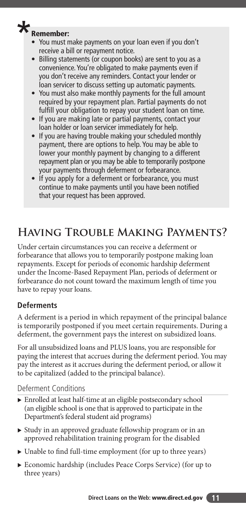# Remember:

- You must make payments on your loan even if you don't receive a bill or repayment notice.
- Billing statements (or coupon books) are sent to you as a convenience.You're obligated to make payments even if you don't receive any reminders. Contact your lender or loan servicer to discuss setting up automatic payments.
- You must also make monthly payments for the full amount required by your repayment plan. Partial payments do not fulfill your obligation to repay your student loan on time.
- If you are making late or partial payments, contact your loan holder or loan servicer immediately for help.
- If you are having trouble making your scheduled monthly payment, there are options to help. You may be able to lower your monthly payment by changing to a different repayment plan or you may be able to temporarily postpone your payments through deferment or forbearance.
- If you apply for a deferment or forbearance, you must continue to make payments until you have been notified that your request has been approved.

# **Having Trouble Making Payments?**

Under certain circumstances you can receive a deferment or forbearance that allows you to temporarily postpone making loan repayments. Except for periods of economic hardship deferment under the Income-Based Repayment Plan, periods of deferment or forbearance do not count toward the maximum length of time you have to repay your loans.

#### **Deferments**

A deferment is a period in which repayment of the principal balance is temporarily postponed if you meet certain requirements. During a deferment, the government pays the interest on subsidized loans.

For all unsubsidized loans and PLUS loans, you are responsible for paying the interest that accrues during the deferment period. You may pay the interest as it accrues during the deferment period, or allow it to be capitalized (added to the principal balance).

Deferment Conditions

- $\blacktriangleright$  Enrolled at least half-time at an eligible postsecondary school (an eligible school is one that is approved to participate in the Department's federal student aid programs)
- $\triangleright$  Study in an approved graduate fellowship program or in an approved rehabilitation training program for the disabled
- $\triangleright$  Unable to find full-time employment (for up to three years)
- $\blacktriangleright$  Economic hardship (includes Peace Corps Service) (for up to three years)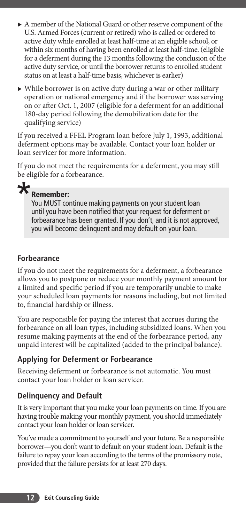- A member of the National Guard or other reserve component of the U.S. Armed Forces (current or retired) who is called or ordered to active duty while enrolled at least half-time at an eligible school, or within six months of having been enrolled at least half-time. (eligible for a deferment during the 13 months following the conclusion of the active duty service, or until the borrower returns to enrolled student status on at least a half-time basis, whichever is earlier)
- $\triangleright$  While borrower is on active duty during a war or other military operation or national emergency and if the borrower was serving on or after Oct. 1, 2007 (eligible for a deferment for an additional 180-day period following the demobilization date for the qualifying service)

If you received a FFEL Program loan before July 1, 1993, additional deferment options may be available. Contact your loan holder or loan servicer for more information.

If you do not meet the requirements for a deferment, you may still be eligible for a forbearance.

# **Remember:**

You MUST continue making payments on your student loan until you have been notified that your request for deferment or forbearance has been granted. If you don't, and it is not approved, you will become delinquent and may default on your loan.

#### **Forbearance**

If you do not meet the requirements for a deferment, a forbearance allows you to postpone or reduce your monthly payment amount for a limited and specific period if you are temporarily unable to make your scheduled loan payments for reasons including, but not limited to, financial hardship or illness.

You are responsible for paying the interest that accrues during the forbearance on all loan types, including subsidized loans. When you resume making payments at the end of the forbearance period, any unpaid interest will be capitalized (added to the principal balance).

#### **Applying for Deferment or Forbearance**

Receiving deferment or forbearance is not automatic. You must contact your loan holder or loan servicer.

#### **Delinquency and Default**

It is very important that you make your loan payments on time. If you are having trouble making your monthly payment, you should immediately contact your loan holder or loan servicer.

You've made a commitment to yourself and your future. Be a responsible borrower—you don't want to default on your student loan. Default is the failure to repay your loan according to the terms of the promissory note, provided that the failure persists for at least 270 days.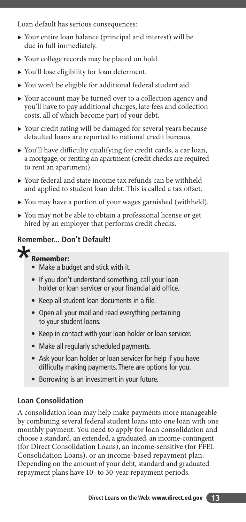Loan default has serious consequences:

- $\triangleright$  Your entire loan balance (principal and interest) will be due in full immediately.
- $\triangleright$  Your college records may be placed on hold.
- $\triangleright$  You'll lose eligibility for loan deferment.
- $\triangleright$  You won't be eligible for additional federal student aid.
- $\triangleright$  Your account may be turned over to a collection agency and you'll have to pay additional charges, late fees and collection costs, all of which become part of your debt.
- $\triangleright$  Your credit rating will be damaged for several years because defaulted loans are reported to national credit bureaus.
- $\triangleright$  You'll have difficulty qualifying for credit cards, a car loan, a mortgage, or renting an apartment (credit checks are required to rent an apartment).
- $\triangleright$  Your federal and state income tax refunds can be withheld and applied to student loan debt. This is called a tax offset.
- ▶ You may have a portion of your wages garnished (withheld).
- $\triangleright$  You may not be able to obtain a professional license or get hired by an employer that performs credit checks.

#### **Remember... Don't Default!**

# **X** Remember:

- Make a budget and stick with it.
- If you don't understand something, call your loan holder or loan servicer or your financial aid office.
- Keep all student loan documents in a file.
- Open all your mail and read everything pertaining to your student loans.
- Keep in contact with your loan holder or loan servicer.
- Make all regularly scheduled payments.
- Ask your loan holder or loan servicer for help if you have difficulty making payments. There are options for you.
- Borrowing is an investment in your future.

#### **Loan Consolidation**

A consolidation loan may help make payments more manageable by combining several federal student loans into one loan with one monthly payment. You need to apply for loan consolidation and choose a standard, an extended, a graduated, an income-contingent (for Direct Consolidation Loans), an income-sensitive (for FFEL Consolidation Loans), or an income-based repayment plan. Depending on the amount of your debt, standard and graduated repayment plans have 10- to 30-year repayment periods.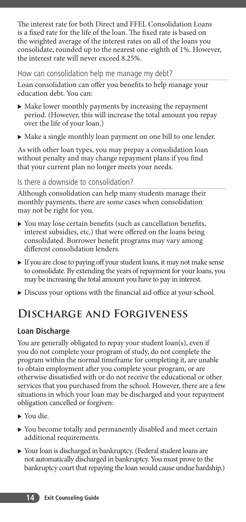The interest rate for both Direct and FFEL Consolidation Loans is a fixed rate for the life of the loan. The fixed rate is based on the weighted average of the interest rates on all of the loans you consolidate, rounded up to the nearest one-eighth of 1%. However, the interest rate will never exceed 8.25%.

#### How can consolidation help me manage my debt?

Loan consolidation can offer you benefits to help manage your education debt. You can:

- $\blacktriangleright$  Make lower monthly payments by increasing the repayment period. (However, this will increase the total amount you repay over the life of your loan.)
- $\blacktriangleright$  Make a single monthly loan payment on one bill to one lender.

As with other loan types, you may prepay a consolidation loan without penalty and may change repayment plans if you find that your current plan no longer meets your needs.

#### Is there a downside to consolidation?

Although consolidation can help many students manage their monthly payments, there are some cases when consolidation may not be right for you.

- $\triangleright$  You may lose certain benefits (such as cancellation benefits, interest subsidies, etc.) that were offered on the loans being consolidated. Borrower benefit programs may vary among different consolidation lenders.
- $\blacktriangleright$  If you are close to paying off your student loans, it may not make sense to consolidate. By extending the years of repayment for your loans, you may be increasing the total amount you have to pay in interest.
- $\triangleright$  Discuss your options with the financial aid office at your school.

## **Discharge and Forgiveness**

#### **Loan Discharge**

You are generally obligated to repay your student loan(s), even if you do not complete your program of study, do not complete the program within the normal timeframe for completing it, are unable to obtain employment after you complete your program, or are otherwise dissatisfied with or do not receive the educational or other services that you purchased from the school. However, there are a few situations in which your loan may be discharged and your repayment obligation cancelled or forgiven:

- $\blacktriangleright$  You die.
- $\blacktriangleright$  You become totally and permanently disabled and meet certain additional requirements.
- $\triangleright$  Your loan is discharged in bankruptcy. (Federal student loans are not automatically discharged in bankruptcy. You must prove to the bankruptcy court that repaying the loan would cause undue hardship.)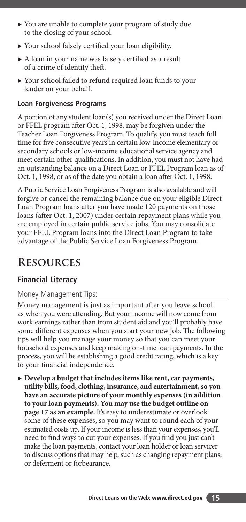- $\triangleright$  You are unable to complete your program of study due to the closing of your school.
- $\blacktriangleright$  Your school falsely certified your loan eligibility.
- $\triangleright$  A loan in your name was falsely certified as a result of a crime of identity theft.
- $\triangleright$  Your school failed to refund required loan funds to your lender on your behalf.

#### **Loan Forgiveness Programs**

A portion of any student loan(s) you received under the Direct Loan or FFEL program after Oct. 1, 1998, may be forgiven under the Teacher Loan Forgiveness Program. To qualify, you must teach full time for five consecutive years in certain low-income elementary or secondary schools or low-income educational service agency and meet certain other qualifications. In addition, you must not have had an outstanding balance on a Direct Loan or FFEL Program loan as of Oct. 1, 1998, or as of the date you obtain a loan after Oct. 1, 1998.

A Public Service Loan Forgiveness Program is also available and will forgive or cancel the remaining balance due on your eligible Direct Loan Program loans after you have made 120 payments on those loans (after Oct. 1, 2007) under certain repayment plans while you are employed in certain public service jobs. You may consolidate your FFEL Program loans into the Direct Loan Program to take advantage of the Public Service Loan Forgiveness Program.

### **Resources**

#### **Financial Literacy**

#### Money Management Tips:

Money management is just as important after you leave school as when you were attending. But your income will now come from work earnings rather than from student aid and you'll probably have some different expenses when you start your new job. The following tips will help you manage your money so that you can meet your household expenses and keep making on-time loan payments. In the process, you will be establishing a good credit rating, which is a key to your financial independence.

**Develop a budget that includes items like rent, car payments, utility bills, food, clothing, insurance, and entertainment, so you have an accurate picture of your monthly expenses (in addition to your loan payments). You may use the budget outline on page 17 as an example.** It's easy to underestimate or overlook some of these expenses, so you may want to round each of your estimated costs up. If your income is less than your expenses, you'll need to find ways to cut your expenses. If you find you just can't make the loan payments, contact your loan holder or loan servicer to discuss options that may help, such as changing repayment plans, or deferment or forbearance.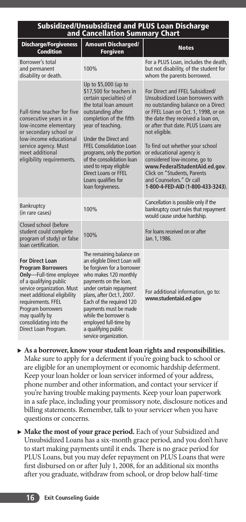# Subsidized/Unsubsidized and PLUS Loan Discharge and Cancellation Summary Chart

| <b>Amount Discharged/</b><br><b>Forgiven</b>                                                                                                                                                                                                                                                                                                                                                 | <b>Notes</b>                                                                                                                                                                                                                                                                                                                                                                                                                                                                 |
|----------------------------------------------------------------------------------------------------------------------------------------------------------------------------------------------------------------------------------------------------------------------------------------------------------------------------------------------------------------------------------------------|------------------------------------------------------------------------------------------------------------------------------------------------------------------------------------------------------------------------------------------------------------------------------------------------------------------------------------------------------------------------------------------------------------------------------------------------------------------------------|
| 100%                                                                                                                                                                                                                                                                                                                                                                                         | For a PLUS Loan, includes the death,<br>but not disability, of the student for<br>whom the parents borrowed.                                                                                                                                                                                                                                                                                                                                                                 |
| Up to \$5,000 (up to<br>\$17,500 for teachers in<br>certain specialties) of<br>the total loan amount<br>outstanding after<br>completion of the fifth<br>year of teaching.<br>Under the Direct and<br><b>FFEL Consolidation Loan</b><br>programs, only the portion<br>of the consolidation loan<br>used to repay eligible<br>Direct Loans or FFEL<br>Loans qualifies for<br>loan forgiveness. | For Direct and FFEL Subsidized/<br>Unsubsidized Loan borrowers with<br>no outstanding balance on a Direct<br>or FFEL Loan on Oct. 1, 1998, or on<br>the date they received a loan on,<br>or after that date. PLUS Loans are<br>not eligible.<br>To find out whether your school<br>or educational agency is<br>considered low-income, go to<br>www.FederalStudentAid.ed.gov.<br>Click on "Students, Parents<br>and Counselors." Or call<br>1-800-4-FED-AID (1-800-433-3243). |
| 100%                                                                                                                                                                                                                                                                                                                                                                                         | Cancellation is possible only if the<br>bankruptcy court rules that repayment<br>would cause undue hardship.                                                                                                                                                                                                                                                                                                                                                                 |
| 100%                                                                                                                                                                                                                                                                                                                                                                                         | For loans received on or after<br>Jan. 1, 1986.                                                                                                                                                                                                                                                                                                                                                                                                                              |
| The remaining balance on<br>an eligible Direct Loan will<br>be forgiven for a borrower<br>who makes 120 monthly<br>payments on the loan,<br>under certain repayment<br>plans, after Oct.1, 2007.<br>Each of the required 120<br>payments must be made<br>while the borrower is<br>employed full-time by<br>a qualifying public<br>service organization.                                      | For additional information, go to:<br>www.studentaid.ed.gov                                                                                                                                                                                                                                                                                                                                                                                                                  |
|                                                                                                                                                                                                                                                                                                                                                                                              |                                                                                                                                                                                                                                                                                                                                                                                                                                                                              |

► As a borrower, know your student loan rights and responsibilities. Make sure to apply for a deferment if you're going back to school or are eligible for an unemployment or economic hardship deferment. Keep your loan holder or loan servicer informed of your address, phone number and other information, and contact your servicer if you're having trouble making payments. Keep your loan paperwork in a safe place, including your promissory note, disclosure notices and billing statements. Remember, talk to your servicer when you have questions or concerns.

<sup>u</sup> **Make the most of your grace period.** Each of your Subsidized and Unsubsidized Loans has a six-month grace period, and you don't have to start making payments until it ends. There is no grace period for PLUS Loans, but you may defer repayment on PLUS Loans that were first disbursed on or after July 1, 2008, for an additional six months after you graduate, withdraw from school, or drop below half-time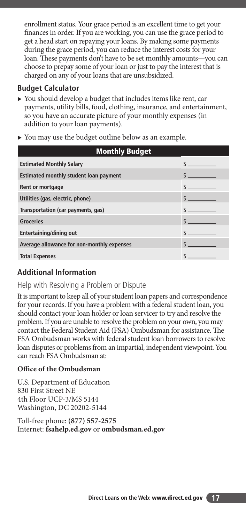enrollment status. Your grace period is an excellent time to get your finances in order. If you are working, you can use the grace period to get a head start on repaying your loans. By making some payments during the grace period, you can reduce the interest costs for your loan. These payments don't have to be set monthly amounts—you can choose to prepay some of your loan or just to pay the interest that is charged on any of your loans that are unsubsidized.

#### **Budget Calculator**

- $\triangleright$  You should develop a budget that includes items like rent, car payments, utility bills, food, clothing, insurance, and entertainment, so you have an accurate picture of your monthly expenses (in addition to your loan payments).
- $\blacktriangleright$  You may use the budget outline below as an example.

| <b>Monthly Budget</b>                         |                      |  |  |  |
|-----------------------------------------------|----------------------|--|--|--|
| <b>Estimated Monthly Salary</b>               | <u>and the state</u> |  |  |  |
| <b>Estimated monthly student loan payment</b> |                      |  |  |  |
| Rent or mortgage                              |                      |  |  |  |
| Utilities (gas, electric, phone)              |                      |  |  |  |
| Transportation (car payments, gas)            |                      |  |  |  |
| <b>Groceries</b>                              |                      |  |  |  |
| <b>Entertaining/dining out</b>                |                      |  |  |  |
| Average allowance for non-monthly expenses    |                      |  |  |  |
| <b>Total Expenses</b>                         |                      |  |  |  |

#### **Additional Information**

#### Help with Resolving a Problem or Dispute

It is important to keep all of your student loan papers and correspondence for your records. If you have a problem with a federal student loan, you should contact your loan holder or loan servicer to try and resolve the problem. If you are unable to resolve the problem on your own, you may contact the Federal Student Aid (FSA) Ombudsman for assistance. The FSA Ombudsman works with federal student loan borrowers to resolve loan disputes or problems from an impartial, independent viewpoint. You can reach FSA Ombudsman at:

#### **Office of the Ombudsman**

U.S. Department of Education 830 First Street NE 4th Floor UCP-3/MS 5144 Washington, DC 20202-5144

Toll-free phone: **(877) 557-2575** Internet: **fsahelp.ed.gov** or **ombudsman.ed.gov**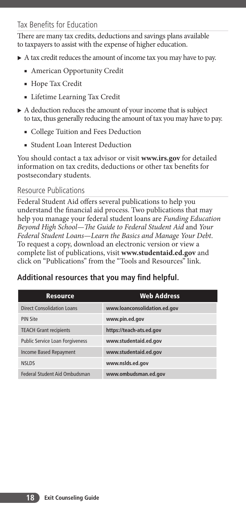#### Tax Benefits for Education

There are many tax credits, deductions and savings plans available to taxpayers to assist with the expense of higher education.

- $\blacktriangleright$  A tax credit reduces the amount of income tax you may have to pay.
	- American Opportunity Credit
	- Hope Tax Credit
	- Lifetime Learning Tax Credit
- $\blacktriangleright$  A deduction reduces the amount of your income that is subject to tax, thus generally reducing the amount of tax you may have to pay.
	- College Tuition and Fees Deduction
	- Student Loan Interest Deduction

You should contact a tax advisor or visit **www.irs.gov** for detailed information on tax credits, deductions or other tax benefits for postsecondary students.

Resource Publications

Federal Student Aid offers several publications to help you understand the financial aid process. Two publications that may help you manage your federal student loans are *Funding Education Beyond High School—The Guide to Federal Student Aid* and *Your Federal Student Loans—Learn the Basics and Manage Your Debt*. To request a copy, download an electronic version or view a complete list of publications, visit **www.studentaid.ed.gov** and click on "Publications" from the "Tools and Resources" link.

#### **Additional resources that you may find helpful.**

| <b>Resource</b>                   | <b>Web Address</b>           |
|-----------------------------------|------------------------------|
| <b>Direct Consolidation Loans</b> | www.loanconsolidation.ed.gov |
| <b>PIN Site</b>                   | www.pin.ed.gov               |
| <b>TEACH Grant recipients</b>     | https://teach-ats.ed.gov     |
| Public Service Loan Forgiveness   | www.studentaid.ed.gov        |
| <b>Income Based Repayment</b>     | www.studentaid.ed.gov        |
| <b>NSLDS</b>                      | www.nslds.ed.gov             |
| Federal Student Aid Ombudsman     | www.ombudsman.ed.gov         |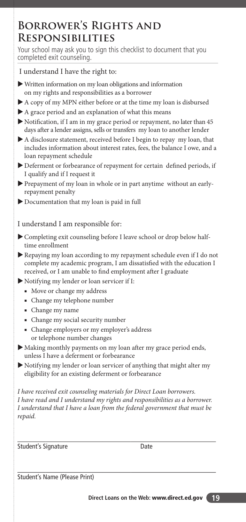### **Borrower's Rights and Responsibilities**

Your school may ask you to sign this checklist to document that you completed exit counseling.

#### I understand I have the right to:

- $\blacktriangleright$  Written information on my loan obligations and information on my rights and responsibilities as a borrower
- $\blacktriangleright$  A copy of my MPN either before or at the time my loan is disbursed
- $\blacktriangleright$  A grace period and an explanation of what this means
- $\blacktriangleright$  Notification, if I am in my grace period or repayment, no later than 45 days after a lender assigns, sells or transfers my loan to another lender
- $\blacktriangleright$  A disclosure statement, received before I begin to repay my loan, that includes information about interest rates, fees, the balance I owe, and a loan repayment schedule
- $\blacktriangleright$  Deferment or forbearance of repayment for certain defined periods, if I qualify and if I request it
- Prepayment of my loan in whole or in part anytime without an earlyrepayment penalty
- $\blacktriangleright$  Documentation that my loan is paid in full

I understand I am responsible for:

- uCompleting exit counseling before I leave school or drop below halftime enrollment
- $\blacktriangleright$  Repaying my loan according to my repayment schedule even if I do not complete my academic program, I am dissatisfied with the education I received, or I am unable to find employment after I graduate
- $\blacktriangleright$  Notifying my lender or loan servicer if I:
	- Move or change my address
	- Change my telephone number
	- Change my name
	- Change my social security number
	- Change employers or my employer's address or telephone number changes
- $\blacktriangleright$  Making monthly payments on my loan after my grace period ends, unless I have a deferment or forbearance
- $\blacktriangleright$  Notifying my lender or loan servicer of anything that might alter my eligibility for an existing deferment or forbearance

*I have received exit counseling materials for Direct Loan borrowers. I have read and I understand my rights and responsibilities as a borrower. I understand that I have a loan from the federal government that must be repaid.*

Student's Signature **Date** 

Student's Name (Please Print)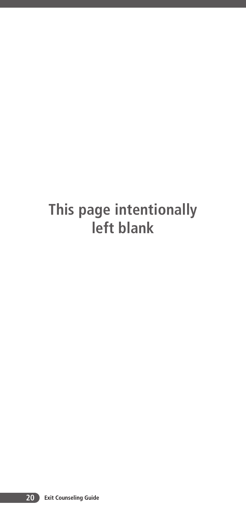# **This page intentionally left blank**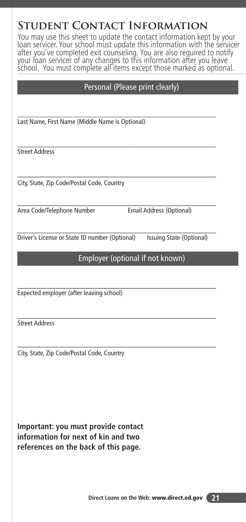### **Student Contact Information**

You may use this sheet to update the contact information kept by your loan servicer. Your school must update this information with the servicer after you've completed exit counseling. You are also required to notify your loan servicer of any changes to this information after you leave school. You must complete all items except those marked as optional.

#### Personal (Please print clearly)

Last Name, First Name (Middle Name is Optional)

Street Address

City, State, Zip Code/Postal Code, Country

Area Code/Telephone Number Email Address (Optional)

Driver's License or State ID number (Optional) Issuing State (Optional)

#### Employer (optional if not known)

Expected employer (after leaving school)

Street Address

City, State, Zip Code/Postal Code, Country

**Important: you must provide contact information for next of kin and two references on the back of this page.**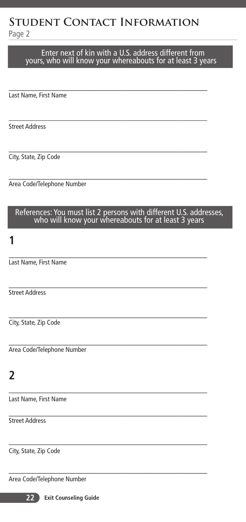### **Student Contact Information** Page 2

#### Enter next of kin with a U.S. address different from yours, who will know your whereabouts for at least 3 years

Last Name, First Name

Street Address

City, State, Zip Code

Area Code/Telephone Number

#### References: You must list 2 persons with different U.S. addresses, who will know your whereabouts for at least 3 years

**1**

í

Last Name, First Name

Street Address

City, State, Zip Code

Area Code/Telephone Number

## **2**

Last Name, First Name

Street Address

City, State, Zip Code

Area Code/Telephone Number



**22 Exit Counseling Guide**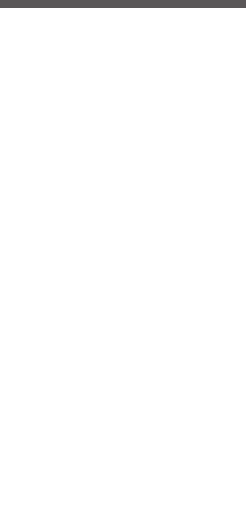